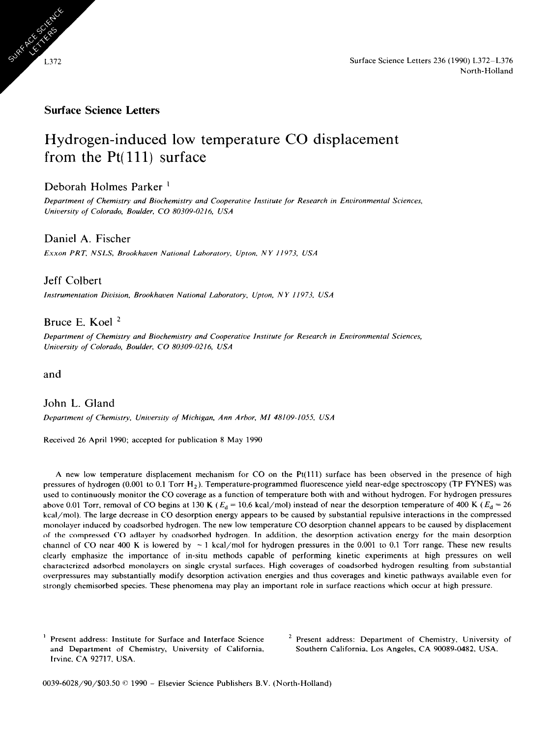

### **Surface Science Letters**

# Hydrogen-induced low temperature CO displacement from the  $Pt(111)$  surface

# Deborah Holmes Parker '

*Department of Chemrstry nnd Biochemistry and Cooperatwe Institute for Research m Environmental Scrences, University of Colorado, Boulder, CO 80309-0216, USA* 

# Daniel A. Fischer

*Exxon PRT, NSLS, Brookhaoen National Lahoratoty, Upton, NY 11973, USA* 

## Jeff Colbert

*Instrumentation Division, Brookhaven National Laboratory, Upton, NY 11973, USA* 

# Bruce E. Koel '

*Department of Chemistry and Biochemistry and Cooperative Instrtute for Research in Environmental Sciences, University of Colorado, Boulder, CO 80309-0216, USA* 

and

# John L. Gland

*Department of Chemistry. Unruersity of Michigan, Ann Arbor, MI 48109-1055, USA* 

Received 26 April 1990; accepted for publication 8 May 1990

A new low temperature displacement mechanism for CO on the Pt(ll1) surface has been observed in the presence of high pressures of hydrogen (0.001 to 0.1 Torr  $H_2$ ). Temperature-programmed fluorescence yield near-edge spectroscopy (TP FYNES) was used to continuously monitor the CO coverage as a function of temperature both with and without hydrogen. For hydrogen pressures above 0.01 Torr, removal of CO begins at 130 K ( $E_d = 10.6$  kcal/mol) instead of near the desorption temperature of 400 K ( $E_d = 26$ ) kcal/mol). The large decrease in CO desorption energy appears to be caused by substantial repulsive interactions in the compressed monolayer induced by coadsorbed hydrogen. The new low temperature CO desorption channel appears to be caused by displacement of the compressed CO adlayer by coadsorbed hydrogen. In addition, the desorption activation energy for the main desorption channel of CO near 400 K is lowered by  $\sim 1$  kcal/mol for hydrogen pressures in the 0.001 to 0.1 Torr range. These new results clearly emphasize the importance of in-situ methods capable of performing kinetic experiments at high pressures on well characterized adsorbed monolayers on single crystal surfaces. High coverages of coadsorbed hydrogen resulting from substantial overpressures may substantially modify desorption activation energies and thus coverages and kinetic pathways available even for strongly chemisorbed species. These phenomena may play an important role in surface reactions which occur at high pressure.

Present address: Institute for Surface and Interface Science and Department of Chemistry, University of California, Irvine, CA 92717, USA.

<sup>2</sup> Present address: Department of Chemistry, University of Southern California, Los Angeles, CA 90089-0482, USA.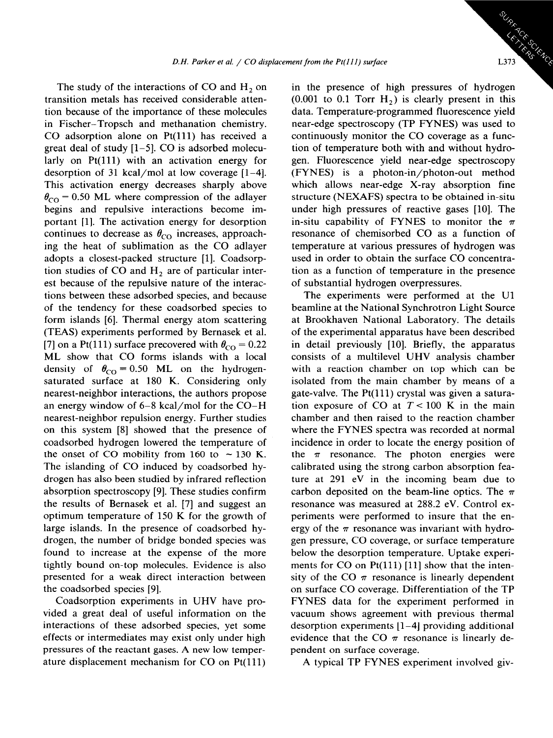The study of the interactions of CO and  $H_2$  on transition metals has received considerable attention because of the importance of these molecules in Fischer-Tropsch and methanation chemistry. CO adsorption alone on  $Pt(111)$  has received a great deal of study [l-5]. CO is adsorbed molecularly on Pt(111) with an activation energy for desorption of 31 kcal/mol at low coverage [l-4]. This activation energy decreases sharply above  $\theta_{\rm CO}$  = 0.50 ML where compression of the adlayer begins and repulsive interactions become important [l]. The activation energy for desorption continues to decrease as  $\theta_{\rm CO}$  increases, approaching the heat of sublimation as the CO adlayer adopts a closest-packed structure [l]. Coadsorption studies of CO and  $H<sub>2</sub>$  are of particular interest because of the repulsive nature of the interactions between these adsorbed species, and because of the tendency for these coadsorbed species to form islands [6]. Thermal energy atom scattering (TEAS) experiments performed by Bernasek et al. [7] on a Pt(111) surface precovered with  $\theta_{\rm CO} = 0.22$ ML show that CO forms islands with a local density of  $\theta_{\text{CO}} = 0.50$  ML on the hydrogensaturated surface at 180 K. Considering only nearest-neighbor interactions, the authors propose an energy window of 6-8 kcal/mol for the CO-H nearest-neighbor repulsion energy. Further studies on this system [8] showed that the presence of coadsorbed hydrogen lowered the temperature of the onset of CO mobility from 160 to  $\sim$  130 K. The islanding of CO induced by coadsorbed hydrogen has also been studied by infrared reflection absorption spectroscopy [9]. These studies confirm the results of Bernasek et al. [7] and suggest an optimum temperature of 150 K for the growth of large islands. In the presence of coadsorbed hydrogen, the number of bridge bonded species was found to increase at the expense of the more tightly bound on-top molecules. Evidence is also presented for a weak direct interaction between the coadsorbed species [9].

Coadsorption experiments in UHV have provided a great deal of useful information on the interactions of these adsorbed species, yet some effects or intermediates may exist only under high pressures of the reactant gases. A new low temperature displacement mechanism for CO on Pt(ll1) in the presence of high pressures of hydrogen  $(0.001$  to 0.1 Torr  $H<sub>2</sub>$ ) is clearly present in this data. Temperature-programmed fluorescence yield near-edge spectroscopy (TP FYNES) was used to continuously monitor the CO coverage as a function of temperature both with and without hydrogen. Fluorescence yield near-edge spectroscopy (FYNES) is a photon-in/photon-out method which allows near-edge X-ray absorption fine structure (NEXAFS) spectra to be obtained in-situ under high pressures of reactive gases [10]. The in-situ capability of FYNES to monitor the  $\pi$ resonance of chemisorbed CO as a function of temperature at various pressures of hydrogen was used in order to obtain the surface CO concentration as a function of temperature in the presence of substantial hydrogen overpressures.

The experiments were performed at the Ul beamline at the National Synchrotron Light Source at Brookhaven National Laboratory. The details of the experimental apparatus have been described in detail previously [10]. Briefly, the apparatus consists of a multilevel UHV analysis chamber with a reaction chamber on top which can be isolated from the main chamber by means of a gate-valve. The Pt(ll1) crystal was given a saturation exposure of CO at  $T < 100$  K in the main chamber and then raised to the reaction chamber where the FYNES spectra was recorded at normal incidence in order to locate the energy position of the  $\pi$  resonance. The photon energies were calibrated using the strong carbon absorption feature at 291 eV in the incoming beam due to carbon deposited on the beam-line optics. The  $\pi$ resonance was measured at 288.2 eV. Control experiments were performed to insure that the energy of the  $\pi$  resonance was invariant with hydrogen pressure, CO coverage, or surface temperature below the desorption temperature. Uptake experiments for  $CO$  on  $Pt(111)$  [11] show that the intensity of the CO  $\pi$  resonance is linearly dependent on surface CO coverage. Differentiation of the TP FYNES data for the experiment performed in vacuum shows agreement with previous thermal desorption experiments [l-4] providing additional evidence that the CO  $\pi$  resonance is linearly dependent on surface coverage.

A typical TP FYNES experiment involved giv-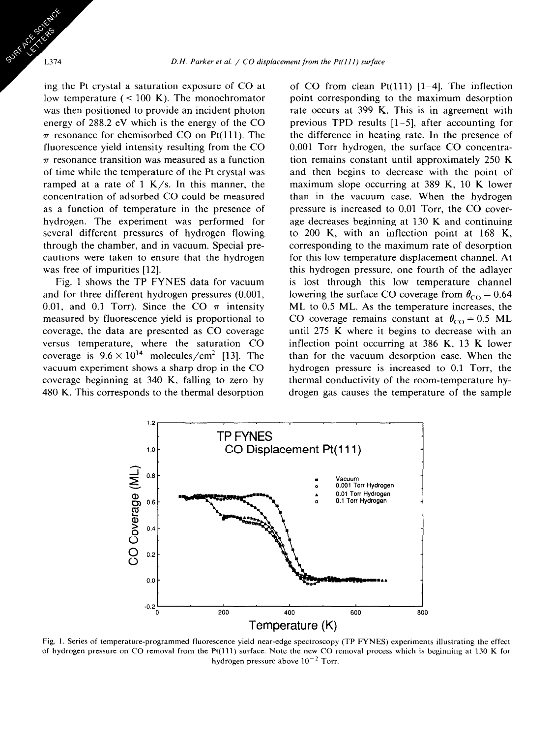ing the Pt crystal a saturation exposure of CO at low temperature  $(< 100 K)$ . The monochromator was then positioned to provide an incident photon energy of 288.2 eV which is the energy of the CO  $\pi$  resonance for chemisorbed CO on Pt(111). The fluorescence yield intensity resulting from the CO  $\pi$  resonance transition was measured as a function of time while the temperature of the Pt crystal was ramped at a rate of 1 K/s. In this manner, the concentration of adsorbed CO could be measured as a function of temperature in the presence of hydrogen. The experiment was performed for several different pressures of hydrogen flowing through the chamber, and in vacuum. Special precautions were taken to ensure that the hydrogen was free of impurities [12].

L374

Fig. 1 shows the TP FYNES data for vacuum and for three different hydrogen pressures (0.001, 0.01, and 0.1 Torr). Since the CO  $\pi$  intensity measured by fluorescence yield is proportional to coverage, the data are presented as CO coverage versus temperature, where the saturation CO coverage is  $9.6 \times 10^{14}$  molecules/cm<sup>2</sup> [13]. The vacuum experiment shows a sharp drop in the CO coverage beginning at 340 K, falling to zero by 480 K. This corresponds to the thermal desorption

of CO from clean  $Pt(111)$  [1-4]. The inflection point corresponding to the maximum desorption rate occurs at 399 K. This is in agreement with previous TPD results [l-5], after accounting for the difference in heating rate. In the presence of 0.001 Torr hydrogen, the surface CO concentration remains constant until approximately 250 K and then begins to decrease with the point of maximum slope occurring at 389 K, 10 K lower than in the vacuum case. When the hydrogen pressure is increased to 0.01 Torr, the CO coverage decreases beginning at 130 K and continuing to 200 K, with an inflection point at 168 K, corresponding to the maximum rate of desorption for this low temperature displacement channel. At this hydrogen pressure, one fourth of the adlayer is lost through this low temperature channel lowering the surface CO coverage from  $\theta_{\text{CO}} = 0.64$ ML to 0.5 ML. As the temperature increases, the CO coverage remains constant at  $\theta_{\rm CO} = 0.5$  ML until 275 K where it begins to decrease with an inflection point occurring at 386 K, 13 K lower than for the vacuum desorption case. When the hydrogen pressure is increased to 0.1 Torr, the thermal conductivity of the room-temperature hydrogen gas causes the temperature of the sample



Fig. 1. Series of temperature-programmed fluorescence yield near-edge spectroscopy (TP FYNES) experiments illustrating the effect of hydrogen pressure on CO removal from the Pt(lll) surface. Note the new CO removal process which is beginning at 130 K for hydrogen pressure above  $10^{-2}$  Torr.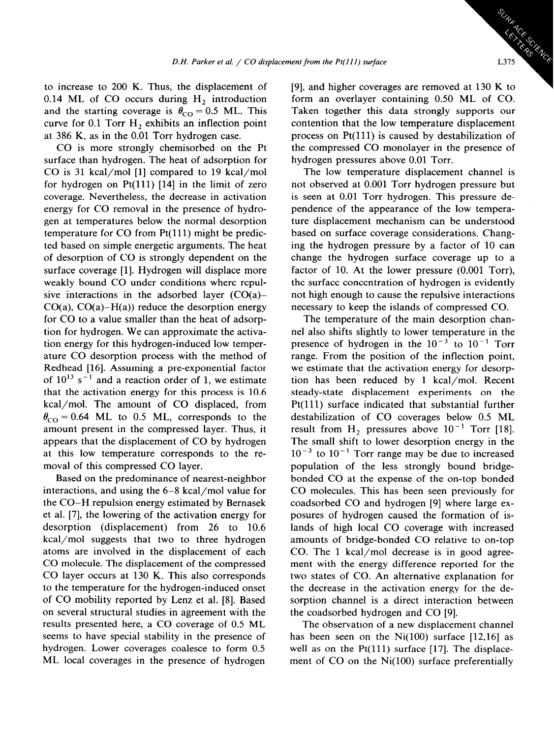to increase to 200 K. Thus, the displacement of 0.14 ML of CO occurs during  $H_2$  introduction and the starting coverage is  $\theta_{\rm CO} = 0.5$  ML. This curve for 0.1 Torr  $H_2$  exhibits an inflection point at 386 K, as in the 0.01 Torr hydrogen case.

CO is more strongly chemisorbed on the Pt surface than hydrogen. The heat of adsorption for CO is 31 kcal/mol [l] compared to 19 kcal/mol for hydrogen on  $Pt(111)$  [14] in the limit of zero coverage. Nevertheless, the decrease in activation energy for CO removal in the presence of hydrogen at temperatures below the normal desorption temperature for CO from Pt(ll1) might be predicted based on simple energetic arguments. The heat of desorption of CO is strongly dependent on the surface coverage [l]. Hydrogen will displace more weakly bound CO under conditions where repulsive interactions in the adsorbed layer  $(CO(a)$ - $CO(a)$ ,  $CO(a)$ – $H(a)$ ) reduce the desorption energy for CO to a value smaller than the heat of adsorption for hydrogen. We can approximate the activation energy for this hydrogen-induced low temperature CO desorption process with the method of Redhead [16]. Assuming a pre-exponential factor of  $10^{13}$  s<sup>-1</sup> and a reaction order of 1, we estimate that the activation energy for this process is 10.6 kcal/mol. The amount of CO displaced, from  $\theta_{\rm CO} = 0.64$  ML to 0.5 ML, corresponds to the amount present in the compressed layer. Thus, it appears that the displacement of CO by hydrogen at this low temperature corresponds to the removal of this compressed CO layer.

Based on the predominance of nearest-neighbor interactions, and using the 6-8 kcal/mol value for the CO-H repulsion energy estimated by Bernasek et al. [7], the lowering of the activation energy for desorption (displacement) from 26 to 10.6 kcal/mol suggests that two to three hydrogen atoms are involved in the displacement of each CO molecule. The displacement of the compressed CO layer occurs at 130 K. This also corresponds to the temperature for the hydrogen-induced onset of CO mobility reported by Lenz et al. [8]. Based on several structural studies in agreement with the results presented here, a CO coverage of 0.5 ML seems to have special stability in the presence of hydrogen. Lower coverages coalesce to form 0.5 ML local coverages in the presence of hydrogen

[9], and higher coverages are removed at 130 K to form an overlayer containing 0.50 ML of CO. Taken together this data strongly supports our contention that the low temperature displacement process on  $Pt(111)$  is caused by destabilization of the compressed CO monolayer in the presence of hydrogen pressures above 0.01 Torr.

The low temperature displacement channel is not observed at 0.001 Torr hydrogen pressure but is seen at 0.01 Torr hydrogen. This pressure dependence of the appearance of the low temperature displacement mechanism can be understood based on surface coverage considerations. Changing the hydrogen pressure by a factor of 10 can change the hydrogen surface coverage up to a factor of 10. At the lower pressure (0.001 Torr), the surface concentration of hydrogen is evidently not high enough to cause the repulsive interactions necessary to keep the islands of compressed CO.

The temperature of the main desorption channel also shifts slightly to lower temperature in the presence of hydrogen in the  $10^{-3}$  to  $10^{-1}$  Torr range. From the position of the inflection point, we estimate that the activation energy for desorption has been reduced by 1 kcal/mol. Recent steady-state displacement experiments on the Pt(111) surface indicated that substantial further destabilization of CO coverages below 0.5 ML result from H<sub>2</sub> pressures above  $10^{-1}$  Torr [18]. The small shift to lower desorption energy in the  $10^{-3}$  to  $10^{-1}$  Torr range may be due to increased population of the less strongly bound bridgebonded CO at the expense of the on-top bonded CO molecules. This has been seen previously for coadsorbed CO and hydrogen [9] where large exposures of hydrogen caused the formation of islands of high local CO coverage with increased amounts of bridge-bonded CO relative to on-top CO. The 1 kcal/mol decrease is in good agreement with the energy difference reported for the two states of CO. An alternative explanation for the decrease in the activation energy for the desorption channel is a direct interaction between the coadsorbed hydrogen and CO [9].

The observation of a new displacement channel has been seen on the Ni $(100)$  surface  $[12,16]$  as well as on the  $Pt(111)$  surface [17]. The displacement of  $CO$  on the  $Ni(100)$  surface preferentially